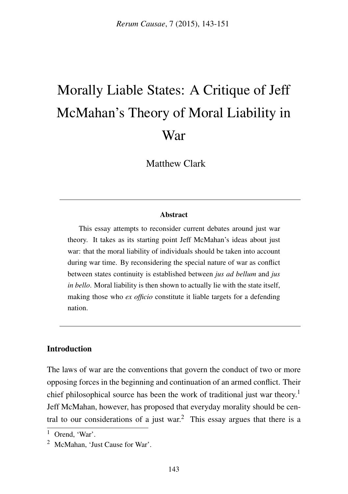# Morally Liable States: A Critique of Jeff McMahan's Theory of Moral Liability in War

Matthew Clark

#### Abstract

This essay attempts to reconsider current debates around just war theory. It takes as its starting point Jeff McMahan's ideas about just war: that the moral liability of individuals should be taken into account during war time. By reconsidering the special nature of war as conflict between states continuity is established between *jus ad bellum* and *jus in bello*. Moral liability is then shown to actually lie with the state itself, making those who *ex officio* constitute it liable targets for a defending nation.

#### Introduction

The laws of war are the conventions that govern the conduct of two or more opposing forces in the beginning and continuation of an armed conflict. Their chief philosophical source has been the work of traditional just war theory.<sup>1</sup> Jeff McMahan, however, has proposed that everyday morality should be central to our considerations of a just war.<sup>2</sup> This essay argues that there is a

<sup>1</sup> Orend, 'War'.

<sup>2</sup> McMahan, 'Just Cause for War'.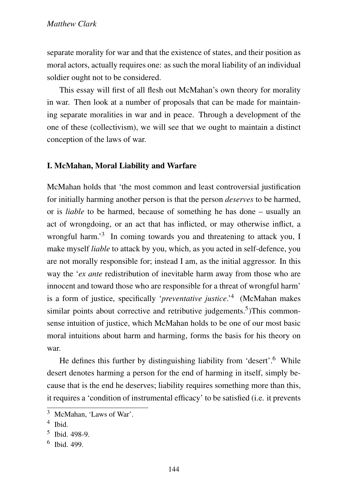separate morality for war and that the existence of states, and their position as moral actors, actually requires one: as such the moral liability of an individual soldier ought not to be considered.

This essay will first of all flesh out McMahan's own theory for morality in war. Then look at a number of proposals that can be made for maintaining separate moralities in war and in peace. Through a development of the one of these (collectivism), we will see that we ought to maintain a distinct conception of the laws of war.

#### I. McMahan, Moral Liability and Warfare

McMahan holds that 'the most common and least controversial justification for initially harming another person is that the person *deserves* to be harmed, or is *liable* to be harmed, because of something he has done – usually an act of wrongdoing, or an act that has inflicted, or may otherwise inflict, a wrongful harm.<sup>3</sup> In coming towards you and threatening to attack you, I make myself *liable* to attack by you, which, as you acted in self-defence, you are not morally responsible for; instead I am, as the initial aggressor. In this way the '*ex ante* redistribution of inevitable harm away from those who are innocent and toward those who are responsible for a threat of wrongful harm' is a form of justice, specifically '*preventative justice*.'<sup>4</sup> (McMahan makes similar points about corrective and retributive judgements.<sup>5</sup>)This commonsense intuition of justice, which McMahan holds to be one of our most basic moral intuitions about harm and harming, forms the basis for his theory on war.

He defines this further by distinguishing liability from 'desert'.<sup>6</sup> While desert denotes harming a person for the end of harming in itself, simply because that is the end he deserves; liability requires something more than this, it requires a 'condition of instrumental efficacy' to be satisfied (i.e. it prevents

<sup>3</sup> McMahan, 'Laws of War'.

<sup>4</sup> Ibid.

<sup>5</sup> Ibid. 498-9.

<sup>6</sup> Ibid. 499.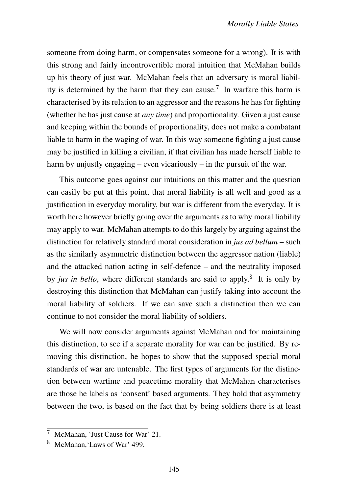someone from doing harm, or compensates someone for a wrong). It is with this strong and fairly incontrovertible moral intuition that McMahan builds up his theory of just war. McMahan feels that an adversary is moral liability is determined by the harm that they can cause.<sup>7</sup> In warfare this harm is characterised by its relation to an aggressor and the reasons he has for fighting (whether he has just cause at *any time*) and proportionality. Given a just cause and keeping within the bounds of proportionality, does not make a combatant liable to harm in the waging of war. In this way someone fighting a just cause may be justified in killing a civilian, if that civilian has made herself liable to harm by unjustly engaging – even vicariously – in the pursuit of the war.

This outcome goes against our intuitions on this matter and the question can easily be put at this point, that moral liability is all well and good as a justification in everyday morality, but war is different from the everyday. It is worth here however briefly going over the arguments as to why moral liability may apply to war. McMahan attempts to do this largely by arguing against the distinction for relatively standard moral consideration in *jus ad bellum* – such as the similarly asymmetric distinction between the aggressor nation (liable) and the attacked nation acting in self-defence – and the neutrality imposed by *jus in bello*, where different standards are said to apply.<sup>8</sup> It is only by destroying this distinction that McMahan can justify taking into account the moral liability of soldiers. If we can save such a distinction then we can continue to not consider the moral liability of soldiers.

We will now consider arguments against McMahan and for maintaining this distinction, to see if a separate morality for war can be justified. By removing this distinction, he hopes to show that the supposed special moral standards of war are untenable. The first types of arguments for the distinction between wartime and peacetime morality that McMahan characterises are those he labels as 'consent' based arguments. They hold that asymmetry between the two, is based on the fact that by being soldiers there is at least

<sup>7</sup> McMahan, 'Just Cause for War' 21.

<sup>8</sup> McMahan,'Laws of War' 499.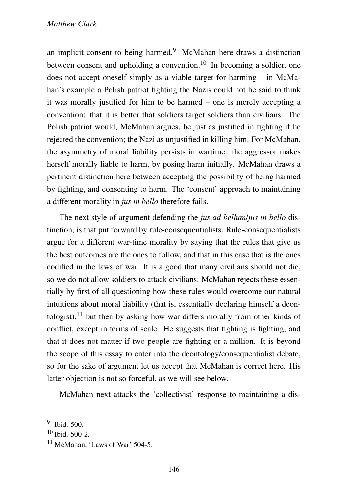#### *Matthew Clark*

an implicit consent to being harmed.<sup>9</sup> McMahan here draws a distinction between consent and upholding a convention.<sup>10</sup> In becoming a soldier, one does not accept oneself simply as a viable target for harming – in McMahan's example a Polish patriot fighting the Nazis could not be said to think it was morally justified for him to be harmed – one is merely accepting a convention: that it is better that soldiers target soldiers than civilians. The Polish patriot would, McMahan argues, be just as justified in fighting if he rejected the convention; the Nazi as unjustified in killing him. For McMahan, the asymmetry of moral liability persists in wartime: the aggressor makes herself morally liable to harm, by posing harm initially. McMahan draws a pertinent distinction here between accepting the possibility of being harmed by fighting, and consenting to harm. The 'consent' approach to maintaining a different morality in *jus in bello* therefore fails.

The next style of argument defending the *jus ad bellum*/*jus in bello* distinction, is that put forward by rule-consequentialists. Rule-consequentialists argue for a different war-time morality by saying that the rules that give us the best outcomes are the ones to follow, and that in this case that is the ones codified in the laws of war. It is a good that many civilians should not die, so we do not allow soldiers to attack civilians. McMahan rejects these essentially by first of all questioning how these rules would overcome our natural intuitions about moral liability (that is, essentially declaring himself a deontologist),  $11$  but then by asking how war differs morally from other kinds of conflict, except in terms of scale. He suggests that fighting is fighting, and that it does not matter if two people are fighting or a million. It is beyond the scope of this essay to enter into the deontology/consequentialist debate, so for the sake of argument let us accept that McMahan is correct here. His latter objection is not so forceful, as we will see below.

McMahan next attacks the 'collectivist' response to maintaining a dis-

<sup>9</sup> Ibid. 500.

 $10$  Ibid.  $500-2$ .

<sup>&</sup>lt;sup>11</sup> McMahan, 'Laws of War' 504-5.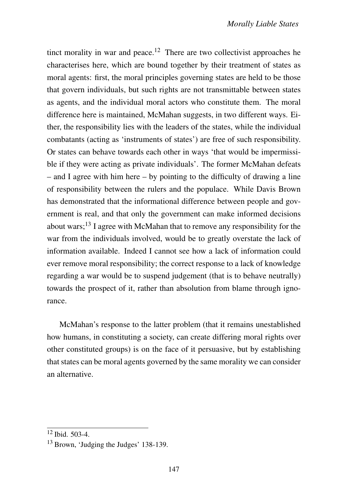tinct morality in war and peace.<sup>12</sup> There are two collectivist approaches he characterises here, which are bound together by their treatment of states as moral agents: first, the moral principles governing states are held to be those that govern individuals, but such rights are not transmittable between states as agents, and the individual moral actors who constitute them. The moral difference here is maintained, McMahan suggests, in two different ways. Either, the responsibility lies with the leaders of the states, while the individual combatants (acting as 'instruments of states') are free of such responsibility. Or states can behave towards each other in ways 'that would be impermissible if they were acting as private individuals'. The former McMahan defeats – and I agree with him here – by pointing to the difficulty of drawing a line of responsibility between the rulers and the populace. While Davis Brown has demonstrated that the informational difference between people and government is real, and that only the government can make informed decisions about wars;<sup>13</sup> I agree with McMahan that to remove any responsibility for the war from the individuals involved, would be to greatly overstate the lack of information available. Indeed I cannot see how a lack of information could ever remove moral responsibility; the correct response to a lack of knowledge regarding a war would be to suspend judgement (that is to behave neutrally) towards the prospect of it, rather than absolution from blame through ignorance.

McMahan's response to the latter problem (that it remains unestablished how humans, in constituting a society, can create differing moral rights over other constituted groups) is on the face of it persuasive, but by establishing that states can be moral agents governed by the same morality we can consider an alternative.

 $12$  Ibid. 503-4.

<sup>13</sup> Brown, 'Judging the Judges' 138-139.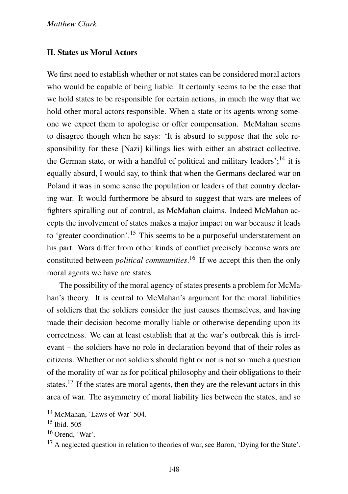#### II. States as Moral Actors

We first need to establish whether or not states can be considered moral actors who would be capable of being liable. It certainly seems to be the case that we hold states to be responsible for certain actions, in much the way that we hold other moral actors responsible. When a state or its agents wrong someone we expect them to apologise or offer compensation. McMahan seems to disagree though when he says: 'It is absurd to suppose that the sole responsibility for these [Nazi] killings lies with either an abstract collective, the German state, or with a handful of political and military leaders';<sup>14</sup> it is equally absurd, I would say, to think that when the Germans declared war on Poland it was in some sense the population or leaders of that country declaring war. It would furthermore be absurd to suggest that wars are melees of fighters spiralling out of control, as McMahan claims. Indeed McMahan accepts the involvement of states makes a major impact on war because it leads to 'greater coordination'.<sup>15</sup> This seems to be a purposeful understatement on his part. Wars differ from other kinds of conflict precisely because wars are constituted between *political communities*. <sup>16</sup> If we accept this then the only moral agents we have are states.

The possibility of the moral agency of states presents a problem for McMahan's theory. It is central to McMahan's argument for the moral liabilities of soldiers that the soldiers consider the just causes themselves, and having made their decision become morally liable or otherwise depending upon its correctness. We can at least establish that at the war's outbreak this is irrelevant – the soldiers have no role in declaration beyond that of their roles as citizens. Whether or not soldiers should fight or not is not so much a question of the morality of war as for political philosophy and their obligations to their states.<sup>17</sup> If the states are moral agents, then they are the relevant actors in this area of war. The asymmetry of moral liability lies between the states, and so

<sup>14</sup> McMahan, 'Laws of War' 504.

<sup>15</sup> Ibid. 505

 $16$  Orend, 'War'.

 $17$  A neglected question in relation to theories of war, see Baron, 'Dying for the State'.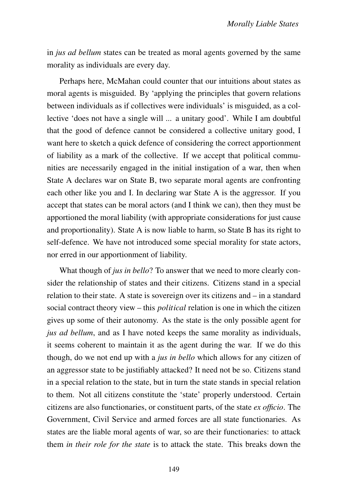in *jus ad bellum* states can be treated as moral agents governed by the same morality as individuals are every day.

Perhaps here, McMahan could counter that our intuitions about states as moral agents is misguided. By 'applying the principles that govern relations between individuals as if collectives were individuals' is misguided, as a collective 'does not have a single will ... a unitary good'. While I am doubtful that the good of defence cannot be considered a collective unitary good, I want here to sketch a quick defence of considering the correct apportionment of liability as a mark of the collective. If we accept that political communities are necessarily engaged in the initial instigation of a war, then when State A declares war on State B, two separate moral agents are confronting each other like you and I. In declaring war State A is the aggressor. If you accept that states can be moral actors (and I think we can), then they must be apportioned the moral liability (with appropriate considerations for just cause and proportionality). State A is now liable to harm, so State B has its right to self-defence. We have not introduced some special morality for state actors, nor erred in our apportionment of liability.

What though of *jus in bello*? To answer that we need to more clearly consider the relationship of states and their citizens. Citizens stand in a special relation to their state. A state is sovereign over its citizens and – in a standard social contract theory view – this *political* relation is one in which the citizen gives up some of their autonomy. As the state is the only possible agent for *jus ad bellum*, and as I have noted keeps the same morality as individuals, it seems coherent to maintain it as the agent during the war. If we do this though, do we not end up with a *jus in bello* which allows for any citizen of an aggressor state to be justifiably attacked? It need not be so. Citizens stand in a special relation to the state, but in turn the state stands in special relation to them. Not all citizens constitute the 'state' properly understood. Certain citizens are also functionaries, or constituent parts, of the state *ex officio*. The Government, Civil Service and armed forces are all state functionaries. As states are the liable moral agents of war, so are their functionaries: to attack them *in their role for the state* is to attack the state. This breaks down the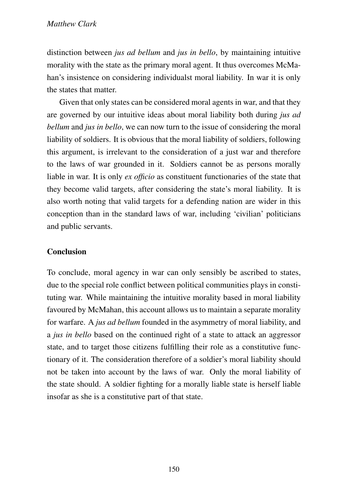### *Matthew Clark*

distinction between *jus ad bellum* and *jus in bello*, by maintaining intuitive morality with the state as the primary moral agent. It thus overcomes McMahan's insistence on considering individualst moral liability. In war it is only the states that matter.

Given that only states can be considered moral agents in war, and that they are governed by our intuitive ideas about moral liability both during *jus ad bellum* and *jus in bello*, we can now turn to the issue of considering the moral liability of soldiers. It is obvious that the moral liability of soldiers, following this argument, is irrelevant to the consideration of a just war and therefore to the laws of war grounded in it. Soldiers cannot be as persons morally liable in war. It is only *ex officio* as constituent functionaries of the state that they become valid targets, after considering the state's moral liability. It is also worth noting that valid targets for a defending nation are wider in this conception than in the standard laws of war, including 'civilian' politicians and public servants.

## **Conclusion**

To conclude, moral agency in war can only sensibly be ascribed to states, due to the special role conflict between political communities plays in constituting war. While maintaining the intuitive morality based in moral liability favoured by McMahan, this account allows us to maintain a separate morality for warfare. A *jus ad bellum* founded in the asymmetry of moral liability, and a *jus in bello* based on the continued right of a state to attack an aggressor state, and to target those citizens fulfilling their role as a constitutive functionary of it. The consideration therefore of a soldier's moral liability should not be taken into account by the laws of war. Only the moral liability of the state should. A soldier fighting for a morally liable state is herself liable insofar as she is a constitutive part of that state.